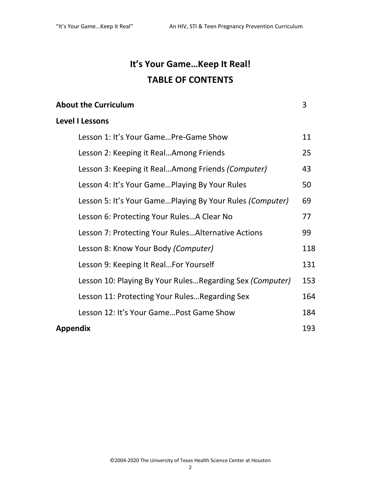## **It's Your Game…Keep It Real! TABLE OF CONTENTS**

| <b>About the Curriculum</b> |  |
|-----------------------------|--|
|                             |  |

## **Level I Lessons**

| Lesson 1: It's Your GamePre-Game Show                     | 11  |
|-----------------------------------------------------------|-----|
| Lesson 2: Keeping it RealAmong Friends                    | 25  |
| Lesson 3: Keeping it RealAmong Friends (Computer)         | 43  |
| Lesson 4: It's Your GamePlaying By Your Rules             | 50  |
| Lesson 5: It's Your GamePlaying By Your Rules (Computer)  | 69  |
| Lesson 6: Protecting Your Rules A Clear No                | 77  |
| Lesson 7: Protecting Your Rules Alternative Actions       | 99  |
| Lesson 8: Know Your Body (Computer)                       | 118 |
| Lesson 9: Keeping It RealFor Yourself                     | 131 |
| Lesson 10: Playing By Your Rules Regarding Sex (Computer) | 153 |
| Lesson 11: Protecting Your Rules Regarding Sex            | 164 |
| Lesson 12: It's Your Game Post Game Show                  | 184 |
| Appendix                                                  |     |

©2004-2020 The University of Texas Health Science Center at Houston

2